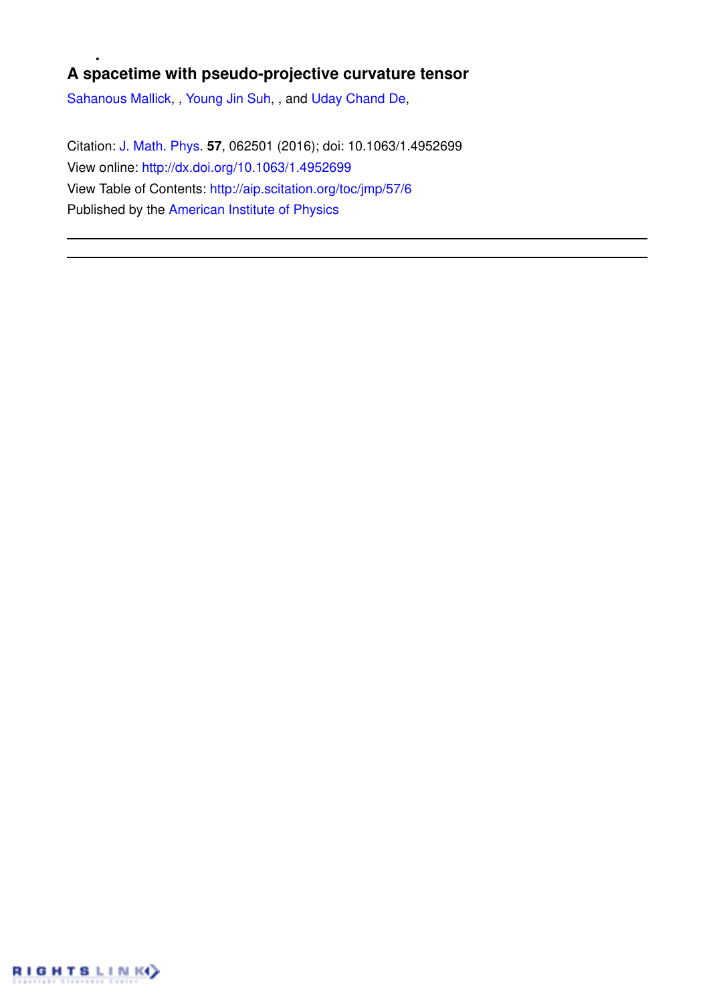# **A spacetime with pseudo-projective curvature tensor**

Sahanous Mallick, , Young Jin Suh, , and Uday Chand De,

Citation: J. Math. Phys. **57**, 062501 (2016); doi: 10.1063/1.4952699 View online: http://dx.doi.org/10.1063/1.4952699 View Table of Contents: http://aip.scitation.org/toc/jmp/57/6 Published by the American Institute of Physics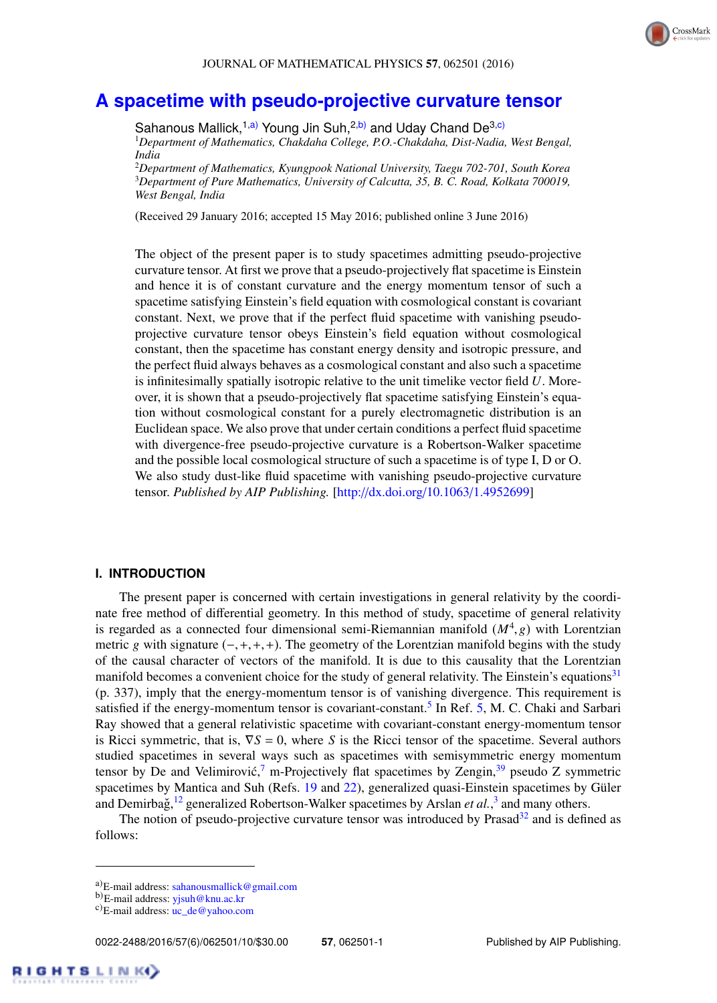# **A spacetime with pseudo-projective curvature tensor**

Sahanous Mallick,<sup>1,a)</sup> Young Jin Suh,<sup>2,b)</sup> and Uday Chand De<sup>3,c)</sup> <sup>1</sup>*Department of Mathematics, Chakdaha College, P.O.-Chakdaha, Dist-Nadia, West Bengal, India*

<sup>2</sup>*Department of Mathematics, Kyungpook National University, Taegu 702-701, South Korea* <sup>3</sup>*Department of Pure Mathematics, University of Calcutta, 35, B. C. Road, Kolkata 700019, West Bengal, India*

(Received 29 January 2016; accepted 15 May 2016; published online 3 June 2016)

The object of the present paper is to study spacetimes admitting pseudo-projective curvature tensor. At first we prove that a pseudo-projectively flat spacetime is Einstein and hence it is of constant curvature and the energy momentum tensor of such a spacetime satisfying Einstein's field equation with cosmological constant is covariant constant. Next, we prove that if the perfect fluid spacetime with vanishing pseudoprojective curvature tensor obeys Einstein's field equation without cosmological constant, then the spacetime has constant energy density and isotropic pressure, and the perfect fluid always behaves as a cosmological constant and also such a spacetime is infinitesimally spatially isotropic relative to the unit timelike vector field *U*. Moreover, it is shown that a pseudo-projectively flat spacetime satisfying Einstein's equation without cosmological constant for a purely electromagnetic distribution is an Euclidean space. We also prove that under certain conditions a perfect fluid spacetime with divergence-free pseudo-projective curvature is a Robertson-Walker spacetime and the possible local cosmological structure of such a spacetime is of type I, D or O. We also study dust-like fluid spacetime with vanishing pseudo-projective curvature tensor. *Published by AIP Publishing.* [http://dx.doi.org/10.1063/1.4952699]

#### **I. INTRODUCTION**

The present paper is concerned with certain investigations in general relativity by the coordinate free method of differential geometry. In this method of study, spacetime of general relativity is regarded as a connected four dimensional semi-Riemannian manifold  $(M^4, g)$  with Lorentzian metric g with signature  $(-,+,+,+)$ . The geometry of the Lorentzian manifold begins with the study of the causal character of vectors of the manifold. It is due to this causality that the Lorentzian manifold becomes a convenient choice for the study of general relativity. The Einstein's equations $31$ (p. 337), imply that the energy-momentum tensor is of vanishing divergence. This requirement is satisfied if the energy-momentum tensor is covariant-constant.<sup>5</sup> In Ref. 5, M. C. Chaki and Sarbari Ray showed that a general relativistic spacetime with covariant-constant energy-momentum tensor is Ricci symmetric, that is,  $\nabla S = 0$ , where *S* is the Ricci tensor of the spacetime. Several authors studied spacetimes in several ways such as spacetimes with semisymmetric energy momentum tensor by De and Velimirović,<sup>7</sup> m-Projectively flat spacetimes by Zengin, $39$  pseudo Z symmetric spacetimes by Mantica and Suh (Refs. 19 and 22), generalized quasi-Einstein spacetimes by Güler and Demirbağ,<sup>12</sup> generalized Robertson-Walker spacetimes by Arslan *et al.*,<sup>3</sup> and many others.

The notion of pseudo-projective curvature tensor was introduced by Prasad<sup>32</sup> and is defined as follows:

a)E-mail address: sahanousmallick@gmail.com

b)E-mail address: yjsuh@knu.ac.kr

c)E-mail address: uc\_de@yahoo.com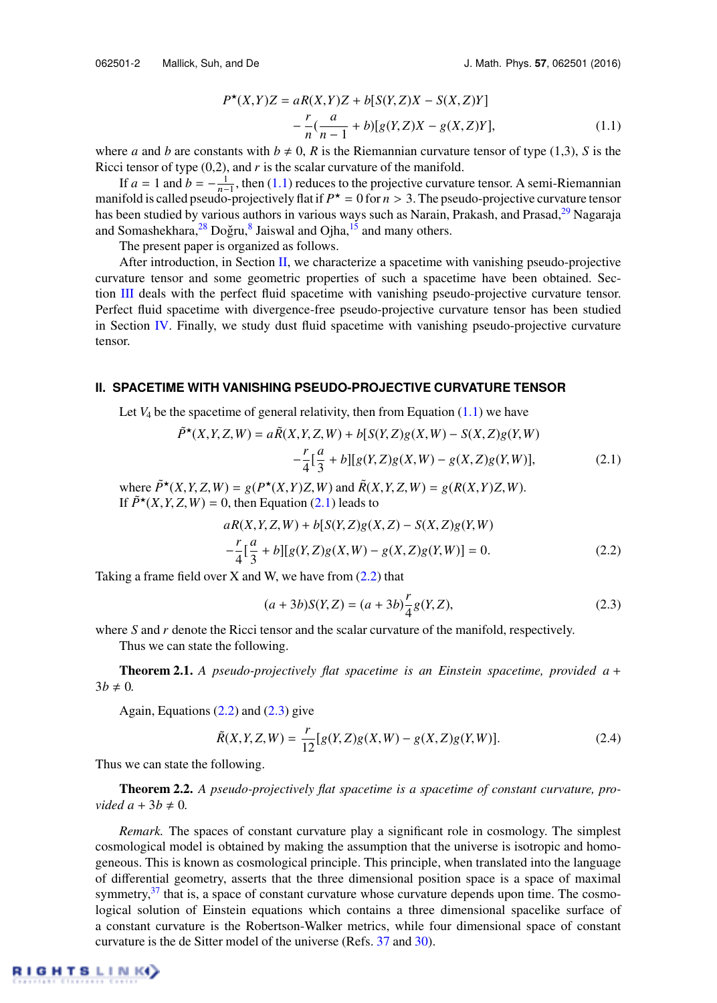$$
P^*(X,Y)Z = aR(X,Y)Z + b[S(Y,Z)X - S(X,Z)Y]
$$
  
 
$$
- \frac{r}{n}(\frac{a}{n-1} + b)[g(Y,Z)X - g(X,Z)Y],
$$
 (1.1)

where *a* and *b* are constants with  $b \neq 0$ , *R* is the Riemannian curvature tensor of type (1,3), *S* is the Ricci tensor of type  $(0,2)$ , and  $r$  is the scalar curvature of the manifold.

If  $a = 1$  and  $b = -\frac{1}{n-1}$ , then (1.1) reduces to the projective curvature tensor. A semi-Riemannian manifold is called pseudo-projectively flat if  $P^* = 0$  for  $n > 3$ . The pseudo-projective curvature tensor has been studied by various authors in various ways such as Narain, Prakash, and Prasad,<sup>29</sup> Nagaraja and Somashekhara,<sup>28</sup> Doğru,<sup>8</sup> Jaiswal and Ojha,<sup>15</sup> and many others.

The present paper is organized as follows.

After introduction, in Section II, we characterize a spacetime with vanishing pseudo-projective curvature tensor and some geometric properties of such a spacetime have been obtained. Section III deals with the perfect fluid spacetime with vanishing pseudo-projective curvature tensor. Perfect fluid spacetime with divergence-free pseudo-projective curvature tensor has been studied in Section IV. Finally, we study dust fluid spacetime with vanishing pseudo-projective curvature tensor.

#### **II. SPACETIME WITH VANISHING PSEUDO-PROJECTIVE CURVATURE TENSOR**

Let  $V_4$  be the spacetime of general relativity, then from Equation  $(1.1)$  we have

$$
\tilde{P}^*(X,Y,Z,W) = a\tilde{R}(X,Y,Z,W) + b[S(Y,Z)g(X,W) - S(X,Z)g(Y,W) - \frac{r}{4}[\frac{a}{3} + b][g(Y,Z)g(X,W) - g(X,Z)g(Y,W)],
$$
\n(2.1)

where  $\tilde{P}^{\star}(X, Y, Z, W) = g(P^{\star}(X, Y)Z, W)$  and  $\tilde{R}(X, Y, Z, W) = g(R(X, Y)Z, W)$ . If  $\tilde{P}^*(X, Y, Z, W) = 0$ , then Equation (2.1) leads to

$$
aR(X, Y, Z, W) + b[S(Y, Z)g(X, Z) - S(X, Z)g(Y, W) - \frac{r}{4}[\frac{a}{3} + b][g(Y, Z)g(X, W) - g(X, Z)g(Y, W)] = 0.
$$
\n(2.2)

Taking a frame field over X and W, we have from  $(2.2)$  that

$$
(a+3b)S(Y,Z) = (a+3b)\frac{r}{4}g(Y,Z),
$$
\n(2.3)

where *S* and *r* denote the Ricci tensor and the scalar curvature of the manifold, respectively.

Thus we can state the following.

Theorem 2.1. *A pseudo-projectively flat spacetime is an Einstein spacetime, provided a* +  $3b \neq 0$ .

Again, Equations  $(2.2)$  and  $(2.3)$  give

$$
\tilde{R}(X,Y,Z,W) = \frac{r}{12} [g(Y,Z)g(X,W) - g(X,Z)g(Y,W)].
$$
\n(2.4)

Thus we can state the following.

Theorem 2.2. *A pseudo-projectively flat spacetime is a spacetime of constant curvature, provided a* +  $3b \neq 0$ *.* 

*Remark.* The spaces of constant curvature play a significant role in cosmology. The simplest cosmological model is obtained by making the assumption that the universe is isotropic and homogeneous. This is known as cosmological principle. This principle, when translated into the language of differential geometry, asserts that the three dimensional position space is a space of maximal symmetry, $37$  that is, a space of constant curvature whose curvature depends upon time. The cosmological solution of Einstein equations which contains a three dimensional spacelike surface of a constant curvature is the Robertson-Walker metrics, while four dimensional space of constant curvature is the de Sitter model of the universe (Refs. 37 and 30).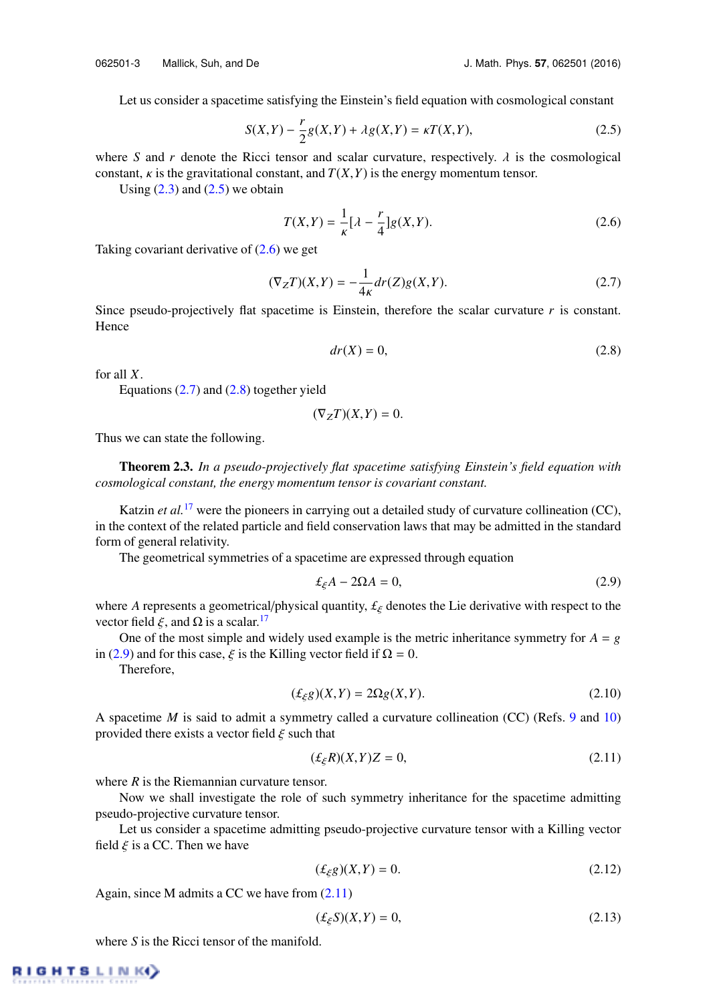Let us consider a spacetime satisfying the Einstein's field equation with cosmological constant

$$
S(X,Y) - \frac{r}{2}g(X,Y) + \lambda g(X,Y) = \kappa T(X,Y),\tag{2.5}
$$

where *S* and *r* denote the Ricci tensor and scalar curvature, respectively.  $\lambda$  is the cosmological constant,  $\kappa$  is the gravitational constant, and  $T(X, Y)$  is the energy momentum tensor.

Using  $(2.3)$  and  $(2.5)$  we obtain

$$
T(X,Y) = \frac{1}{\kappa} \left[ \lambda - \frac{r}{4} \right] g(X,Y). \tag{2.6}
$$

Taking covariant derivative of  $(2.6)$  we get

$$
(\nabla_Z T)(X,Y) = -\frac{1}{4\kappa} dr(Z)g(X,Y). \tag{2.7}
$$

Since pseudo-projectively flat spacetime is Einstein, therefore the scalar curvature *r* is constant. Hence

$$
dr(X) = 0,\t(2.8)
$$

for all *X*.

Equations  $(2.7)$  and  $(2.8)$  together yield

$$
(\nabla_Z T)(X,Y) = 0.
$$

Thus we can state the following.

Theorem 2.3. *In a pseudo-projectively flat spacetime satisfying Einstein's field equation with cosmological constant, the energy momentum tensor is covariant constant.*

Katzin *et al.*<sup>17</sup> were the pioneers in carrying out a detailed study of curvature collineation (CC), in the context of the related particle and field conservation laws that may be admitted in the standard form of general relativity.

The geometrical symmetries of a spacetime are expressed through equation

$$
\pounds_{\xi} A - 2\Omega A = 0, \tag{2.9}
$$

where *A* represents a geometrical/physical quantity,  $f_{\xi}$  denotes the Lie derivative with respect to the vector field  $\xi$ , and  $\Omega$  is a scalar.<sup>17</sup>

One of the most simple and widely used example is the metric inheritance symmetry for  $A = g$ in (2.9) and for this case,  $\xi$  is the Killing vector field if  $\Omega = 0$ .

Therefore,

$$
(\pounds_{\xi}g)(X,Y) = 2\Omega g(X,Y). \tag{2.10}
$$

A spacetime *M* is said to admit a symmetry called a curvature collineation (CC) (Refs. 9 and 10) provided there exists a vector field  $\xi$  such that

$$
(\pounds_{\xi}R)(X,Y)Z = 0,\t(2.11)
$$

where *R* is the Riemannian curvature tensor.

Now we shall investigate the role of such symmetry inheritance for the spacetime admitting pseudo-projective curvature tensor.

Let us consider a spacetime admitting pseudo-projective curvature tensor with a Killing vector field  $\xi$  is a CC. Then we have

$$
(\pounds_{\xi}g)(X,Y) = 0.\tag{2.12}
$$

Again, since M admits a CC we have from (2.11)

$$
(\pounds_{\xi}S)(X,Y) = 0,\tag{2.13}
$$

where *S* is the Ricci tensor of the manifold.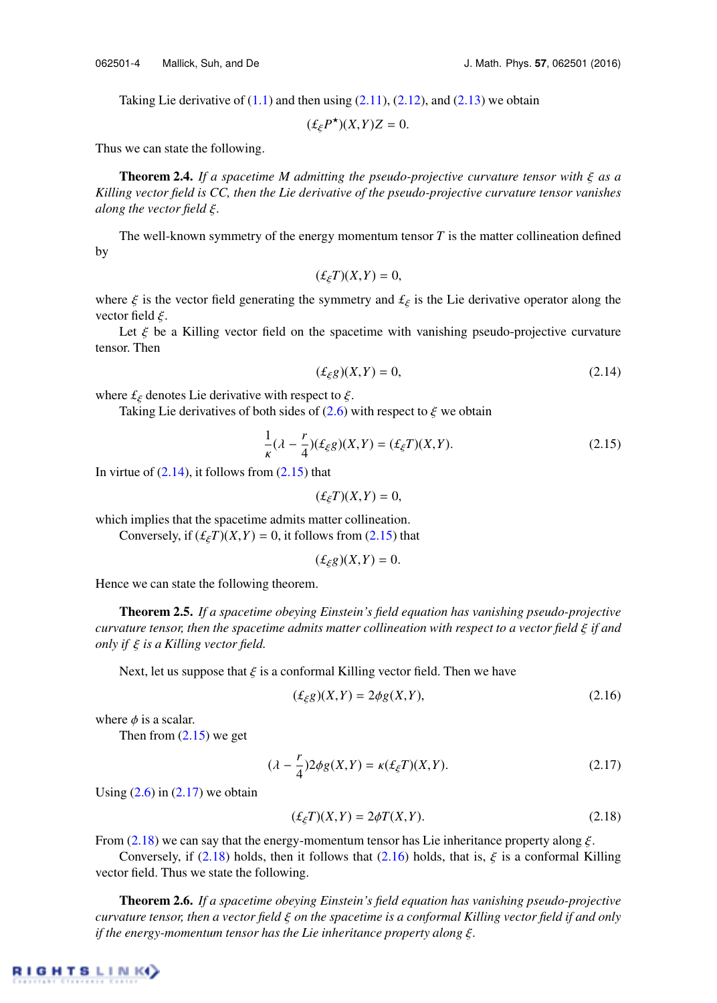Taking Lie derivative of  $(1.1)$  and then using  $(2.11)$ ,  $(2.12)$ , and  $(2.13)$  we obtain

$$
(\pounds_{\xi} P^{\star})(X,Y)Z = 0.
$$

Thus we can state the following.

Theorem 2.4. *If a spacetime M admitting the pseudo-projective curvature tensor with* ξ *as a Killing vector field is CC, then the Lie derivative of the pseudo-projective curvature tensor vanishes along the vector field* ξ*.*

The well-known symmetry of the energy momentum tensor  $T$  is the matter collineation defined by

$$
(\pounds_{\xi}T)(X,Y)=0,
$$

where  $\xi$  is the vector field generating the symmetry and  $\mathcal{L}_{\xi}$  is the Lie derivative operator along the vector field  $\xi$ .

Let  $\xi$  be a Killing vector field on the spacetime with vanishing pseudo-projective curvature tensor. Then

$$
(\pounds_{\xi}g)(X,Y) = 0,\tag{2.14}
$$

where  $f_{\xi}$  denotes Lie derivative with respect to  $\xi$ .

Taking Lie derivatives of both sides of  $(2.6)$  with respect to  $\xi$  we obtain

$$
\frac{1}{\kappa}(\lambda - \frac{r}{4})(\pounds_{\xi}g)(X, Y) = (\pounds_{\xi}T)(X, Y). \tag{2.15}
$$

In virtue of  $(2.14)$ , it follows from  $(2.15)$  that

 $(f_{\xi}T)(X,Y) = 0$ ,

which implies that the spacetime admits matter collineation.

Conversely, if  $(\mathcal{L}_{\xi}T)(X,Y) = 0$ , it follows from (2.15) that

$$
(\pounds_{\xi}g)(X,Y)=0.
$$

Hence we can state the following theorem.

Theorem 2.5. *If a spacetime obeying Einstein's field equation has vanishing pseudo-projective curvature tensor, then the spacetime admits matter collineation with respect to a vector field* ξ *if and only if* ξ *is a Killing vector field.*

Next, let us suppose that  $\xi$  is a conformal Killing vector field. Then we have

$$
(\pounds_{\xi}g)(X,Y) = 2\phi g(X,Y),\tag{2.16}
$$

where  $\phi$  is a scalar.

Then from  $(2.15)$  we get

$$
(\lambda - \frac{r}{4})2\phi g(X,Y) = \kappa(\pounds_{\xi}T)(X,Y). \tag{2.17}
$$

Using  $(2.6)$  in  $(2.17)$  we obtain

$$
(\pounds_{\xi}T)(X,Y) = 2\phi T(X,Y). \tag{2.18}
$$

From (2.18) we can say that the energy-momentum tensor has Lie inheritance property along  $\xi$ .

Conversely, if (2.18) holds, then it follows that (2.16) holds, that is,  $\xi$  is a conformal Killing vector field. Thus we state the following.

Theorem 2.6. *If a spacetime obeying Einstein's field equation has vanishing pseudo-projective curvature tensor, then a vector field* ξ *on the spacetime is a conformal Killing vector field if and only if the energy-momentum tensor has the Lie inheritance property along* ξ*.*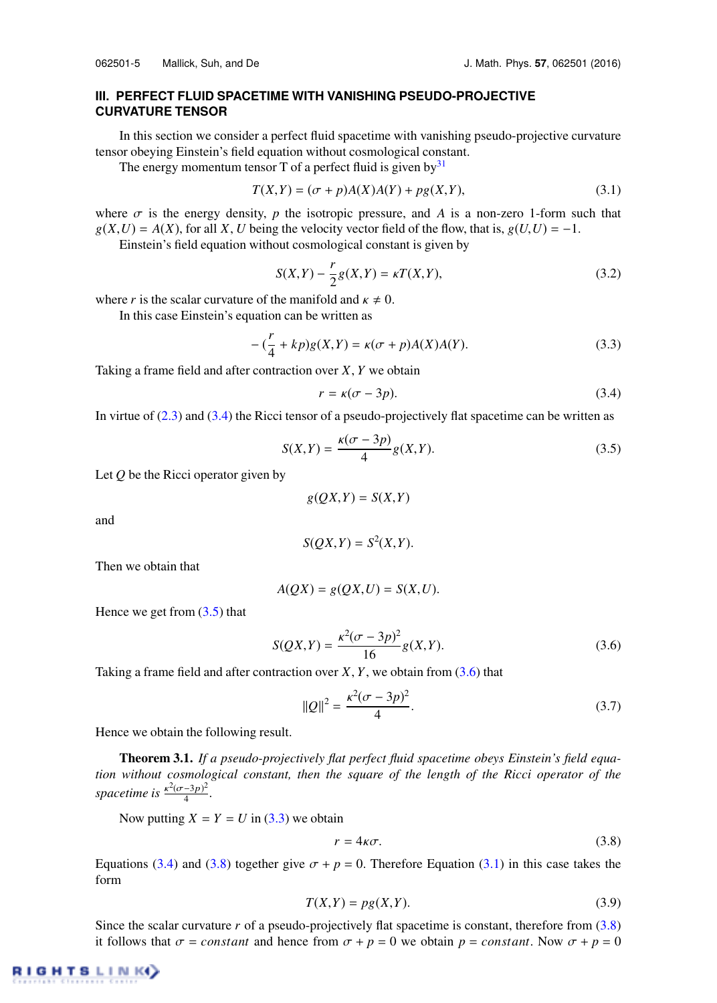## **III. PERFECT FLUID SPACETIME WITH VANISHING PSEUDO-PROJECTIVE CURVATURE TENSOR**

In this section we consider a perfect fluid spacetime with vanishing pseudo-projective curvature tensor obeying Einstein's field equation without cosmological constant.

The energy momentum tensor T of a perfect fluid is given by  $31$ 

$$
T(X,Y) = (\sigma + p)A(X)A(Y) + pg(X,Y),
$$
\n(3.1)

where  $\sigma$  is the energy density, *p* the isotropic pressure, and *A* is a non-zero 1-form such that  $g(X, U) = A(X)$ , for all X, *U* being the velocity vector field of the flow, that is,  $g(U, U) = -1$ .

Einstein's field equation without cosmological constant is given by

$$
S(X,Y) - \frac{r}{2}g(X,Y) = \kappa T(X,Y),
$$
\n(3.2)

where *r* is the scalar curvature of the manifold and  $\kappa \neq 0$ .

In this case Einstein's equation can be written as

$$
-(\frac{r}{4} + kp)g(X,Y) = \kappa(\sigma + p)A(X)A(Y).
$$
\n(3.3)

Taking a frame field and after contraction over *X*, *Y* we obtain

$$
r = \kappa(\sigma - 3p). \tag{3.4}
$$

In virtue of (2.3) and (3.4) the Ricci tensor of a pseudo-projectively flat spacetime can be written as

$$
S(X,Y) = \frac{\kappa(\sigma - 3p)}{4}g(X,Y). \tag{3.5}
$$

Let *Q* be the Ricci operator given by

$$
g(QX,Y) = S(X,Y)
$$

and

$$
S(QX,Y) = S^2(X,Y).
$$

Then we obtain that

$$
A(QX) = g(QX, U) = S(X, U).
$$

Hence we get from  $(3.5)$  that

$$
S(QX,Y) = \frac{\kappa^2(\sigma - 3p)^2}{16}g(X,Y). \tag{3.6}
$$

Taking a frame field and after contraction over  $X, Y$ , we obtain from  $(3.6)$  that

$$
||Q||^2 = \frac{\kappa^2(\sigma - 3p)^2}{4}.
$$
\n(3.7)

Hence we obtain the following result.

Theorem 3.1. *If a pseudo-projectively flat perfect fluid spacetime obeys Einstein's field equation without cosmological constant, then the square of the length of the Ricci operator of the spacetime is*  $\frac{\kappa^2(\sigma-3p)^2}{4}$  $\frac{-3p}{4}$ .

Now putting  $X = Y = U$  in (3.3) we obtain

$$
r = 4\kappa\sigma. \tag{3.8}
$$

Equations (3.4) and (3.8) together give  $\sigma + p = 0$ . Therefore Equation (3.1) in this case takes the form

$$
T(X,Y) = pg(X,Y). \tag{3.9}
$$

Since the scalar curvature *r* of a pseudo-projectively flat spacetime is constant, therefore from (3.8) it follows that  $\sigma = constant$  and hence from  $\sigma + p = 0$  we obtain  $p = constant$ . Now  $\sigma + p = 0$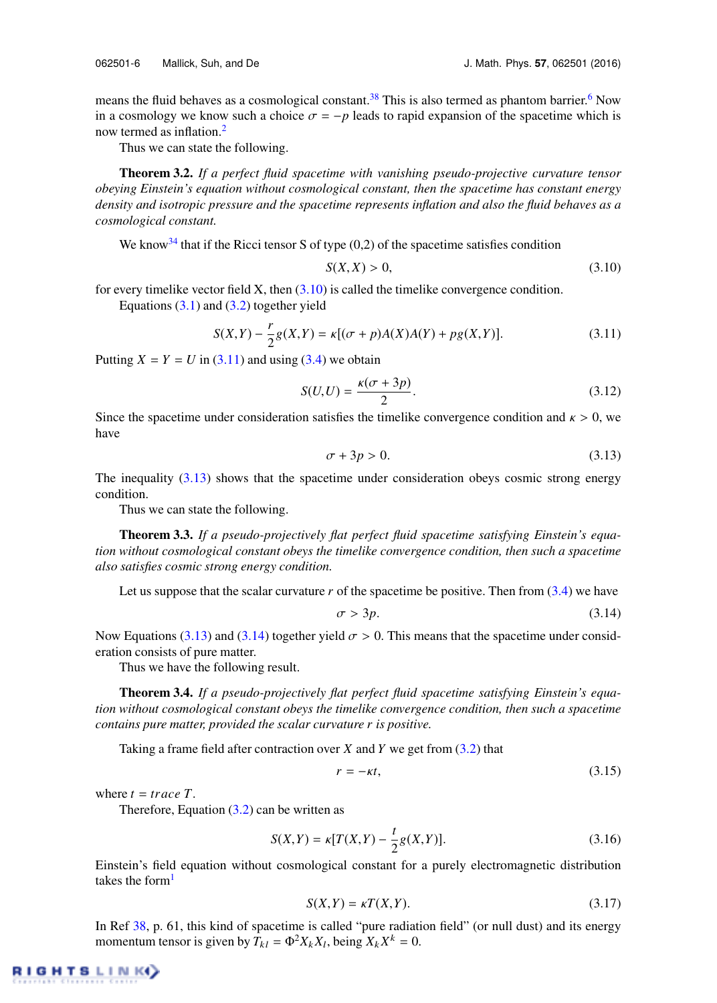means the fluid behaves as a cosmological constant.<sup>38</sup> This is also termed as phantom barrier.<sup>6</sup> Now

in a cosmology we know such a choice  $\sigma = -p$  leads to rapid expansion of the spacetime which is now termed as inflation.<sup>2</sup>

Thus we can state the following.

Theorem 3.2. *If a perfect fluid spacetime with vanishing pseudo-projective curvature tensor obeying Einstein's equation without cosmological constant, then the spacetime has constant energy density and isotropic pressure and the spacetime represents inflation and also the fluid behaves as a cosmological constant.*

We know<sup>34</sup> that if the Ricci tensor S of type  $(0,2)$  of the spacetime satisfies condition

$$
S(X,X) > 0,\tag{3.10}
$$

for every timelike vector field  $X$ , then  $(3.10)$  is called the timelike convergence condition. Equations  $(3.1)$  and  $(3.2)$  together yield

$$
S(X,Y) - \frac{r}{2}g(X,Y) = \kappa[(\sigma + p)A(X)A(Y) + pg(X,Y)].
$$
\n(3.11)

Putting  $X = Y = U$  in (3.11) and using (3.4) we obtain

$$
S(U, U) = \frac{\kappa(\sigma + 3p)}{2}.
$$
\n
$$
(3.12)
$$

Since the spacetime under consideration satisfies the timelike convergence condition and  $\kappa > 0$ , we have

$$
\sigma + 3p > 0. \tag{3.13}
$$

The inequality (3.13) shows that the spacetime under consideration obeys cosmic strong energy condition.

Thus we can state the following.

Theorem 3.3. *If a pseudo-projectively flat perfect fluid spacetime satisfying Einstein's equation without cosmological constant obeys the timelike convergence condition, then such a spacetime also satisfies cosmic strong energy condition.*

Let us suppose that the scalar curvature  $r$  of the spacetime be positive. Then from  $(3.4)$  we have

$$
\sigma > 3p. \tag{3.14}
$$

Now Equations (3.13) and (3.14) together yield  $\sigma > 0$ . This means that the spacetime under consideration consists of pure matter.

Thus we have the following result.

Theorem 3.4. *If a pseudo-projectively flat perfect fluid spacetime satisfying Einstein's equation without cosmological constant obeys the timelike convergence condition, then such a spacetime contains pure matter, provided the scalar curvature r is positive.*

Taking a frame field after contraction over *X* and *Y* we get from (3.2) that

$$
r = -\kappa t,\tag{3.15}
$$

where  $t = trace T$ .

Therefore, Equation  $(3.2)$  can be written as

$$
S(X,Y) = \kappa [T(X,Y) - \frac{t}{2}g(X,Y)].
$$
\n(3.16)

Einstein's field equation without cosmological constant for a purely electromagnetic distribution takes the form $<sup>1</sup>$ </sup>

$$
S(X,Y) = \kappa T(X,Y). \tag{3.17}
$$

In Ref 38, p. 61, this kind of spacetime is called "pure radiation field" (or null dust) and its energy momentum tensor is given by  $\hat{T}_{kl} = \Phi^2 X_k X_l$ , being  $X_k X^k = 0$ .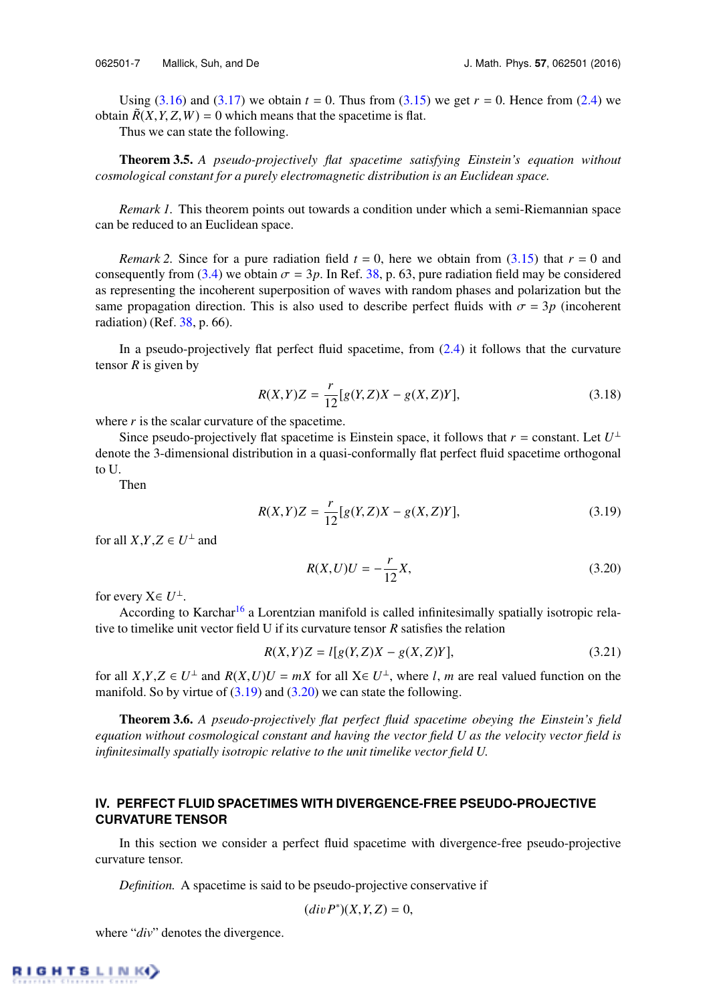Using  $(3.16)$  and  $(3.17)$  we obtain  $t = 0$ . Thus from  $(3.15)$  we get  $r = 0$ . Hence from  $(2.4)$  we obtain  $\tilde{R}(X, Y, Z, W) = 0$  which means that the spacetime is flat.

Thus we can state the following.

Theorem 3.5. *A pseudo-projectively flat spacetime satisfying Einstein's equation without cosmological constant for a purely electromagnetic distribution is an Euclidean space.*

*Remark 1.* This theorem points out towards a condition under which a semi-Riemannian space can be reduced to an Euclidean space.

*Remark 2.* Since for a pure radiation field  $t = 0$ , here we obtain from (3.15) that  $r = 0$  and consequently from (3.4) we obtain  $\sigma = 3p$ . In Ref. 38, p. 63, pure radiation field may be considered as representing the incoherent superposition of waves with random phases and polarization but the same propagation direction. This is also used to describe perfect fluids with  $\sigma = 3p$  (incoherent radiation) (Ref. 38, p. 66).

In a pseudo-projectively flat perfect fluid spacetime, from  $(2.4)$  it follows that the curvature tensor *R* is given by

$$
R(X,Y)Z = \frac{r}{12}[g(Y,Z)X - g(X,Z)Y],
$$
\n(3.18)

where  $r$  is the scalar curvature of the spacetime.

Since pseudo-projectively flat spacetime is Einstein space, it follows that  $r =$  constant. Let  $U^{\perp}$ denote the 3-dimensional distribution in a quasi-conformally flat perfect fluid spacetime orthogonal to U.

Then

$$
R(X,Y)Z = \frac{r}{12}[g(Y,Z)X - g(X,Z)Y],
$$
\n(3.19)

for all  $X, Y, Z \in U^{\perp}$  and

$$
R(X, U)U = -\frac{r}{12}X,\t(3.20)
$$

for every  $X \in U^{\perp}$ .

According to Karchar<sup>16</sup> a Lorentzian manifold is called infinitesimally spatially isotropic relative to timelike unit vector field U if its curvature tensor *R* satisfies the relation

$$
R(X,Y)Z = l[g(Y,Z)X - g(X,Z)Y],
$$
\n(3.21)

for all  $X,Y,Z \in U^{\perp}$  and  $R(X,U)U = mX$  for all  $X \in U^{\perp}$ , where *l*, *m* are real valued function on the manifold. So by virtue of  $(3.19)$  and  $(3.20)$  we can state the following.

Theorem 3.6. *A pseudo-projectively flat perfect fluid spacetime obeying the Einstein's field equation without cosmological constant and having the vector field U as the velocity vector field is infinitesimally spatially isotropic relative to the unit timelike vector field U.*

# **IV. PERFECT FLUID SPACETIMES WITH DIVERGENCE-FREE PSEUDO-PROJECTIVE CURVATURE TENSOR**

In this section we consider a perfect fluid spacetime with divergence-free pseudo-projective curvature tensor.

*Definition.* A spacetime is said to be pseudo-projective conservative if

$$
(div P^*)(X, Y, Z) = 0,
$$

where "*div*" denotes the divergence.

RIGHTSLINK)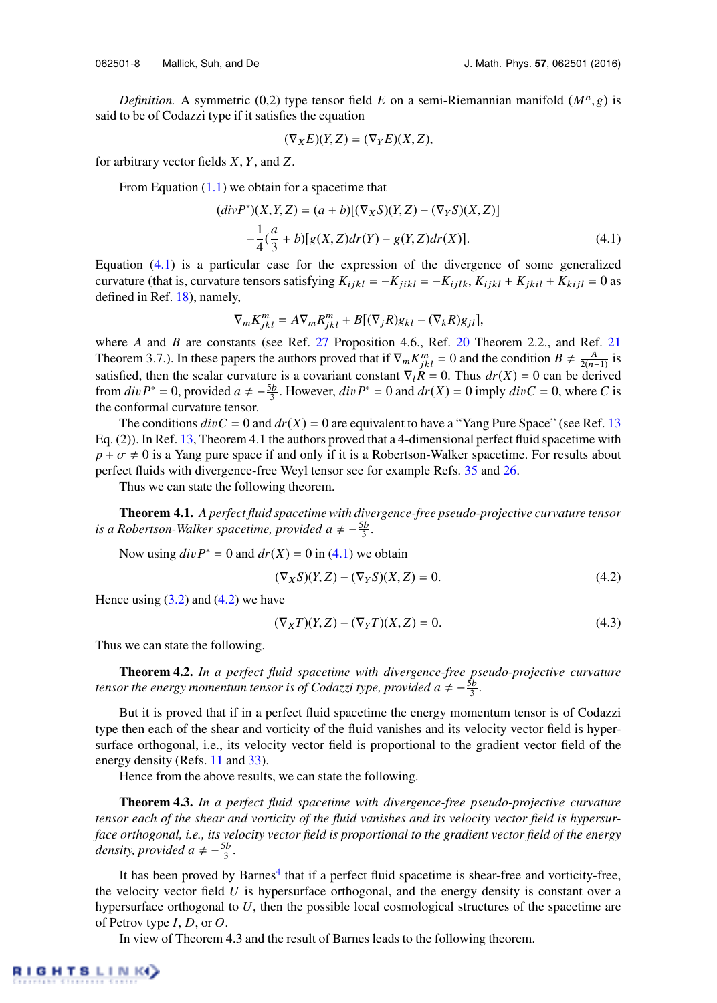*Definition.* A symmetric (0,2) type tensor field *E* on a semi-Riemannian manifold  $(M^n, g)$  is said to be of Codazzi type if it satisfies the equation

$$
(\nabla_X E)(Y,Z) = (\nabla_Y E)(X,Z),
$$

for arbitrary vector fields *X*, *Y*, and *Z*.

From Equation  $(1.1)$  we obtain for a spacetime that

$$
(divP^*)(X,Y,Z) = (a+b)[(\nabla_X S)(Y,Z) - (\nabla_Y S)(X,Z)]
$$
  

$$
-\frac{1}{4}(\frac{a}{3} + b)[g(X,Z)dr(Y) - g(Y,Z)dr(X)].
$$
 (4.1)

Equation (4.1) is a particular case for the expression of the divergence of some generalized curvature (that is, curvature tensors satisfying  $K_{ijkl} = -K_{jik} = -K_{ijkl}$ ,  $K_{ijkl} + K_{jkil} + K_{kij} = 0$  as defined in Ref. 18), namely,

$$
\nabla_m K_{jkl}^m = A \nabla_m R_{jkl}^m + B[(\nabla_j R)g_{kl} - (\nabla_k R)g_{jl}],
$$

where *A* and *B* are constants (see Ref. 27 Proposition 4.6., Ref. 20 Theorem 2.2., and Ref. 21 Theorem 3.7.). In these papers the authors proved that if  $\nabla_m K^m_{jkl} = 0$  and the condition  $B \neq \frac{A}{2(n-1)}$  is satisfied, then the scalar curvature is a covariant constant  $\nabla_l R = 0$ . Thus  $dr(X) = 0$  can be derived from  $div P^* = 0$ , provided  $a \neq -\frac{5b}{3}$ . However,  $div P^* = 0$  and  $dr(X) = 0$  imply  $div C = 0$ , where *C* is the conformal curvature tensor.

The conditions  $divC = 0$  and  $dr(X) = 0$  are equivalent to have a "Yang Pure Space" (see Ref. 13) Eq. (2)). In Ref. 13, Theorem 4.1 the authors proved that a 4-dimensional perfect fluid spacetime with  $p + \sigma \neq 0$  is a Yang pure space if and only if it is a Robertson-Walker spacetime. For results about perfect fluids with divergence-free Weyl tensor see for example Refs. 35 and 26.

Thus we can state the following theorem.

Theorem 4.1. *A perfect fluid spacetime with divergence-free pseudo-projective curvature tensor is a Robertson-Walker spacetime, provided a*  $\neq -\frac{5b}{3}$ *.* 

Now using  $div P^* = 0$  and  $dr(X) = 0$  in (4.1) we obtain

$$
(\nabla_X S)(Y,Z) - (\nabla_Y S)(X,Z) = 0.
$$
\n(4.2)

Hence using  $(3.2)$  and  $(4.2)$  we have

$$
(\nabla_X T)(Y, Z) - (\nabla_Y T)(X, Z) = 0.
$$
\n(4.3)

Thus we can state the following.

Theorem 4.2. *In a perfect fluid spacetime with divergence-free pseudo-projective curvature tensor the energy momentum tensor is of Codazzi type, provided a*  $\neq -\frac{5b}{3}$ *.* 

But it is proved that if in a perfect fluid spacetime the energy momentum tensor is of Codazzi type then each of the shear and vorticity of the fluid vanishes and its velocity vector field is hypersurface orthogonal, i.e., its velocity vector field is proportional to the gradient vector field of the energy density (Refs. 11 and 33).

Hence from the above results, we can state the following.

Theorem 4.3. *In a perfect fluid spacetime with divergence-free pseudo-projective curvature tensor each of the shear and vorticity of the fluid vanishes and its velocity vector field is hypersurface orthogonal, i.e., its velocity vector field is proportional to the gradient vector field of the energy density, provided a*  $\neq -\frac{5b}{3}$ *.* 

It has been proved by Barnes<sup>4</sup> that if a perfect fluid spacetime is shear-free and vorticity-free, the velocity vector field *U* is hypersurface orthogonal, and the energy density is constant over a hypersurface orthogonal to *U*, then the possible local cosmological structures of the spacetime are of Petrov type *I*, *D*, or *O*.

In view of Theorem 4.3 and the result of Barnes leads to the following theorem.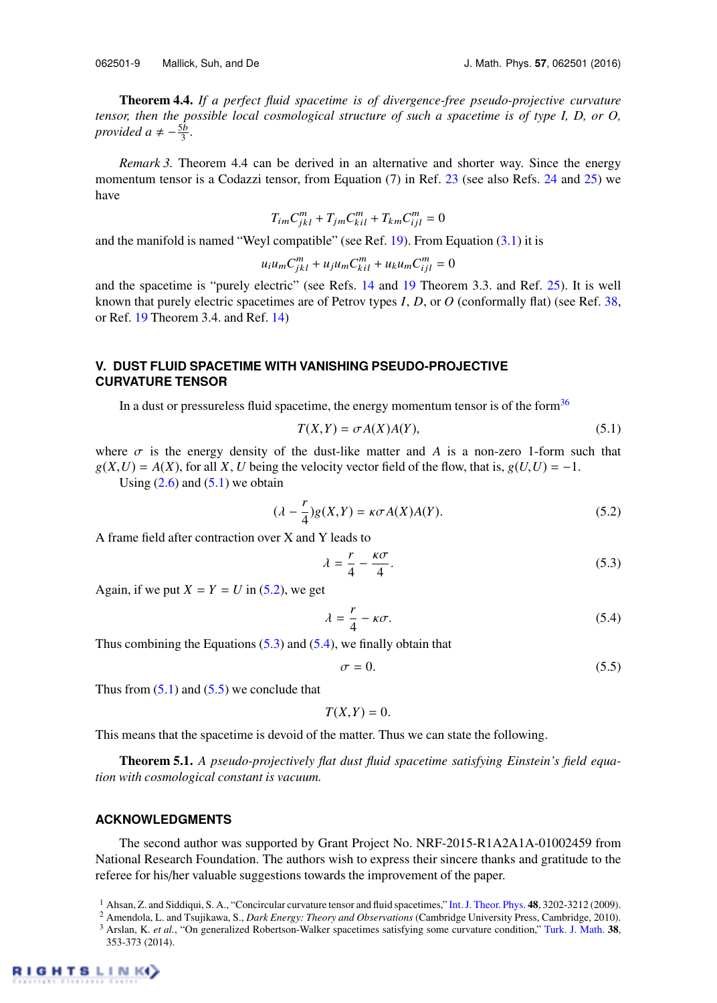062501-9 Mallick, Suh, and De J. Math. Phys. **57**, 062501 (2016)

Theorem 4.4. *If a perfect fluid spacetime is of divergence-free pseudo-projective curvature tensor, then the possible local cosmological structure of such a spacetime is of type I, D, or O, provided a*  $\neq -\frac{5b}{3}$ .

*Remark 3.* Theorem 4.4 can be derived in an alternative and shorter way. Since the energy momentum tensor is a Codazzi tensor, from Equation (7) in Ref. 23 (see also Refs. 24 and 25) we have

$$
T_{im}C_{jkl}^m + T_{jm}C_{kil}^m + T_{km}C_{ijl}^m = 0
$$

and the manifold is named "Weyl compatible" (see Ref. 19). From Equation (3.1) it is

$$
u_i u_m C_{jkl}^m + u_j u_m C_{kil}^m + u_k u_m C_{ijl}^m = 0
$$

and the spacetime is "purely electric" (see Refs. 14 and 19 Theorem 3.3. and Ref. 25). It is well known that purely electric spacetimes are of Petrov types *I*, *D*, or *O* (conformally flat) (see Ref. 38, or Ref. 19 Theorem 3.4. and Ref. 14)

### **V. DUST FLUID SPACETIME WITH VANISHING PSEUDO-PROJECTIVE CURVATURE TENSOR**

In a dust or pressureless fluid spacetime, the energy momentum tensor is of the form $36$ 

$$
T(X,Y) = \sigma A(X)A(Y),\tag{5.1}
$$

where  $\sigma$  is the energy density of the dust-like matter and *A* is a non-zero 1-form such that  $g(X, U) = A(X)$ , for all *X*, *U* being the velocity vector field of the flow, that is,  $g(U, U) = -1$ .

Using  $(2.6)$  and  $(5.1)$  we obtain

$$
(\lambda - \frac{r}{4})g(X,Y) = \kappa \sigma A(X)A(Y). \tag{5.2}
$$

A frame field after contraction over X and Y leads to

$$
\lambda = \frac{r}{4} - \frac{\kappa \sigma}{4}.\tag{5.3}
$$

Again, if we put  $X = Y = U$  in (5.2), we get

$$
\lambda = \frac{r}{4} - \kappa \sigma. \tag{5.4}
$$

Thus combining the Equations  $(5.3)$  and  $(5.4)$ , we finally obtain that

$$
\sigma = 0.\tag{5.5}
$$

Thus from  $(5.1)$  and  $(5.5)$  we conclude that

 $T(X, Y) = 0.$ 

This means that the spacetime is devoid of the matter. Thus we can state the following.

Theorem 5.1. *A pseudo-projectively flat dust fluid spacetime satisfying Einstein's field equation with cosmological constant is vacuum.*

#### **ACKNOWLEDGMENTS**

The second author was supported by Grant Project No. NRF-2015-R1A2A1A-01002459 from National Research Foundation. The authors wish to express their sincere thanks and gratitude to the referee for his/her valuable suggestions towards the improvement of the paper.

<sup>1</sup> Ahsan, Z. and Siddiqui, S. A., "Concircular curvature tensor and fluid spacetimes," Int. J. Theor. Phys. 48, 3202-3212 (2009).

<sup>2</sup> Amendola, L. and Tsujikawa, S., *Dark Energy: Theory and Observations* (Cambridge University Press, Cambridge, 2010). <sup>3</sup> Arslan, K. *et al.*, "On generalized Robertson-Walker spacetimes satisfying some curvature condition," Turk. J. Math. 38, 353-373 (2014).